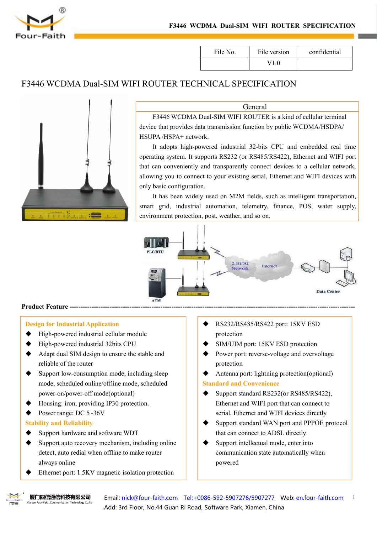

| File No. | File version | confidential |
|----------|--------------|--------------|
|          | $\sqrt{10}$  |              |

# F3446 WCDMA Dual-SIM WIFI ROUTER TECHNICAL SPECIFICATION



#### General

F3446 WCDMA Dual-SIM WIFI ROUTER is a kind of cellular terminal device that provides data transmission function by public WCDMA/HSDPA/ HSUPA /HSPA+ network.

It adopts high-powered industrial32-bits CPU and embedded real time operating system. It supports RS232 (or RS485/RS422), Ethernet and WIFI port that can conveniently and transparently connect devices to a cellular network, allowing you to connect to your existing serial, Ethernet and WIFI devices with only basic configuration.

It has been widely used on M2M fields, such as intelligent transportation, smart grid, industrial automation, telemetry, finance, POS, water supply, environment protection, post, weather, and so on.



#### **Product Feature ---**

#### **Design for Industrial Application**

- High-powered industrial cellular module
- High-powered industrial 32bits CPU
- Adapt dual SIM design to ensure the stable and reliable of the router
- Support low-consumption mode, including sleep mode, scheduled online/offline mode, scheduled power-on/power-off mode(optional)
- Housing: iron, providing IP30 protection.
- $\blacklozenge$  Power range: DC 5~36V

#### **Stability and Reliability**

- Support hardware and software WDT
- Support auto recovery mechanism, including online detect, auto redial when offline to make router always online
- Ethernet port: 1.5KV magnetic isolation protection
- RS232/RS485/RS422 port: 15KV ESD protection
- SIM/UIM port: 15KV ESD protection
- Power port: reverse-voltage and overvoltage protection
- Antenna port: lightning protection(optional)

#### **Standard and Convenience**

- Support standard RS232(or RS485/RS422), Ethernet and WIFI port that can connect to serial, Ethernet and WIFI devices directly
- Support standard WAN port and PPPOE protocol that can connect to ADSL directly
- Support intellectual mode, enter into communication state automatically when powered



Email: [nick@four-faith.com](mailto:nick@four-faith.com?subject=Request Quote by nick@four-faith.com) [Tel:+0086-592-5907276/5907277](callto:+0086-592-5907276/5907277) Web: [en.four-faith.com](http://en.four-faith.com/) Add: 3rd Floor, No.44 Guan Ri Road, Software Park, Xiamen, China 1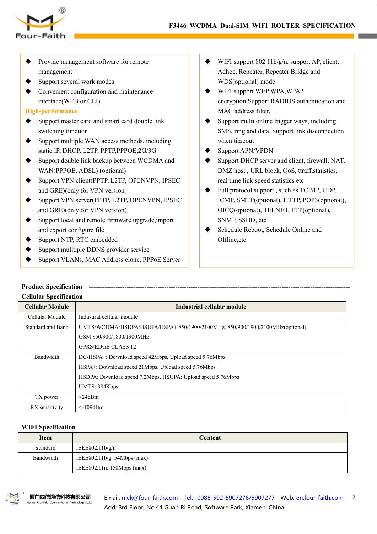



- Provide management software for remote management
- Support several work modes
- Convenient configuration and maintenance interface(WEB or CLI)

## **High-performance**

- $\blacklozenge$  Support master card and smart card double link switching function
- Support multiple WAN access methods, including static IP, DHCP, L2TP, PPTP,PPPOE,2G/3G
- ◆ Support double link backup between WCDMA and WAN(PPPOE, ADSL) (optional)
- ◆ Support VPN client(PPTP, L2TP, OPENVPN, IPSEC and GRE)(only for VPN version)
- ◆ Support VPN server(PPTP, L2TP, OPENVPN, IPSEC and GRE)(only for VPN version)
- Support local and remote firmware upgrade,import and export configure file
- Support NTP, RTC embedded
- Support mulitiple DDNS provider service
- Support VLANs, MAC Address clone, PPPoE Server
- WIFI support 802.11b/g/n, support AP, client, Adhoc, Repeater, Repeater Bridge and WDS(optional) mode
- WIFI support WEP,WPA,WPA2 encryption,Support RADIUS authentication and MAC address filter.
- Support multi online trigger ways, including SMS, ring and data. Support link disconnection when timeout
- Support APN/VPDN
- Support DHCP server and client, firewall, NAT, DMZ host, URL block, OoS, ttraff, statistics, real time link speed statistics etc
- Full protocol support , such as TCP/IP, UDP, ICMP, SMTP(optional), HTTP, POP3(optional), OICQ(optional), TELNET, FTP(optional), SNMP, SSHD, etc
- Schedule Reboot, Schedule Online and Offline,etc

#### **Product Specification Cellular Specification**

| UURIRI SPUURAHUR       |                                                                              |
|------------------------|------------------------------------------------------------------------------|
| <b>Cellular Module</b> | Industrial cellular module                                                   |
| Cellular Module        | Industrial cellular module                                                   |
| Standard and Band      | UMTS/WCDMA/HSDPA/HSUPA/HSPA+850/1900/2100MHz, 850/900/1900/2100MHz(optional) |
|                        | GSM 850/900/1800/1900MHz                                                     |
|                        | <b>GPRS/EDGE CLASS 12</b>                                                    |
| Bandwidth              | DC-HSPA+: Download speed 42Mbps, Upload speed 5.76Mbps                       |
|                        | HSPA+: Download speed 21Mbps, Upload speed 5.76Mbps                          |
|                        | HSDPA: Download speed 7.2Mbps, HSUPA: Upload speed 5.76Mbps                  |
|                        | UMTS: 384Kbps                                                                |
| TX power               | $<$ 24dBm                                                                    |
| RX sensitivity         | $\leq$ 109dBm                                                                |

## **WIFI Specification**

| <b>Item</b> | <b>Content</b>                |
|-------------|-------------------------------|
| Standard    | IEEE802.11b/g/n               |
| Bandwidth   | IEEE802.11b/g: $54Mbps$ (max) |
|             | IEEE802.11n: 150Mbps (max)    |

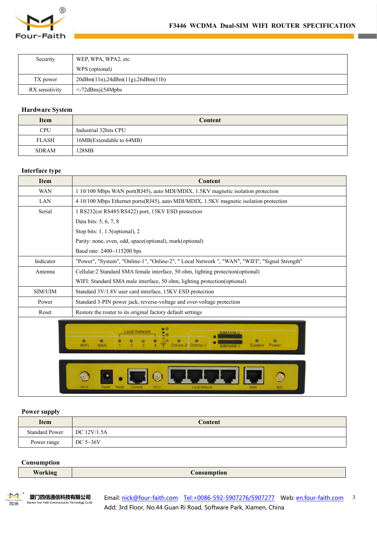

| Security       | WEP, WPA, WPA2, etc              |  |
|----------------|----------------------------------|--|
|                | WPS (optional)                   |  |
| TX power       | 20dBm(11n),24dBm(11g),26dBm(11b) |  |
| RX sensitivity | $\leq$ -72dBm@54Mpbs             |  |

#### **Hardware System**

| Item         | Content                  |
|--------------|--------------------------|
| <b>CPU</b>   | Industrial 32bits CPU    |
| <b>FLASH</b> | 16MB(Extendable to 64MB) |
| <b>SDRAM</b> | 128MB                    |

# **Interface type**

| <b>Item</b> | <b>Content</b>                                                                                                    |  |
|-------------|-------------------------------------------------------------------------------------------------------------------|--|
| <b>WAN</b>  | 1 10/100 Mbps WAN port(RJ45), auto MDI/MDIX, 1.5KV magnetic isolation protection                                  |  |
| LAN         | 4 10/100 Mbps Ethernet ports(RJ45), auto MDI/MDIX, 1.5KV magnetic isolation protection                            |  |
| Serial      | 1 RS232(or RS485/RS422) port, 15KV ESD protection                                                                 |  |
|             | Data bits: 5, 6, 7, 8                                                                                             |  |
|             | Stop bits: $1, 1.5$ (optional), $2$                                                                               |  |
|             | Parity: none, even, odd, space(optional), mark(optional)                                                          |  |
|             | Baud rate: 2400~115200 bps                                                                                        |  |
| Indicator   | "Power", "System", "Online-1", "Online-2", " Local Network ", "WAN", "WIFI", "Signal Strength"                    |  |
| Antenna     | Cellular:2 Standard SMA female interface, 50 ohm, lighting protection(optional)                                   |  |
|             | WIFI: Standard SMA male interface, 50 ohm, lighting protection (optional)                                         |  |
| SIM/UIM     | Standard 3V/1.8V user card interface, 15KV ESD protection                                                         |  |
| Power       | Standard 3-PIN power jack, reverse-voltage and over-voltage protection                                            |  |
| Reset       | Restore the router to its original factory default settings                                                       |  |
|             | $\blacksquare$<br><b>Local Network</b><br>۰<br>۰<br>۰<br>WIFI<br><b>WAN</b><br>Online-1<br>Power<br><b>System</b> |  |

# **Power supply**

| <b>Item</b>           | Content             |
|-----------------------|---------------------|
| <b>Standard Power</b> | $\vert$ DC 12V/1.5A |
| Power range           | DC $5\sim36V$       |

## **Consumption**

| <b>Working</b> | <b>Consumption</b> |
|----------------|--------------------|
|----------------|--------------------|